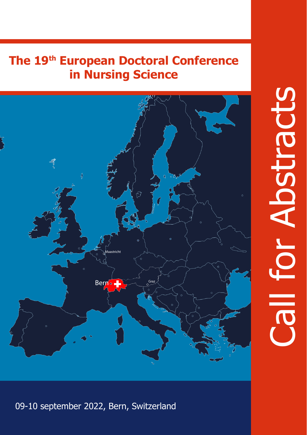# **The 19th European Doctoral Conference in Nursing Science**



09-10 september 2022, Bern, Switzerland

# Call for Abstracts **For Abstract**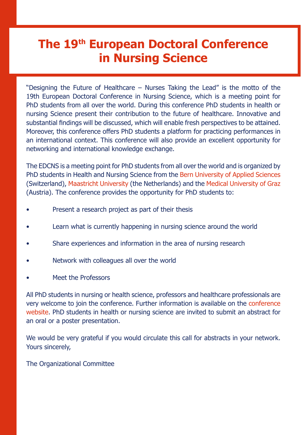# **The 19th European Doctoral Conference in Nursing Science**

"Designing the Future of Healthcare – Nurses Taking the Lead" is the motto of the 19th European Doctoral Conference in Nursing Science, which is a meeting point for PhD students from all over the world. During this conference PhD students in health or nursing Science present their contribution to the future of healthcare. Innovative and substantial findings will be discussed, which will enable fresh perspectives to be attained. Moreover, this conference offers PhD students a platform for practicing performances in an international context. This conference will also provide an excellent opportunity for networking and international knowledge exchange.

The EDCNS is a meeting point for PhD students from all over the world and is organized by PhD students in Health and Nursing Science from the Bern University of Applied Sciences (Switzerland), Maastricht University (the Netherlands) and the Medical University of Graz (Austria). The conference provides the opportunity for PhD students to:

- Present a research project as part of their thesis
- Learn what is currently happening in nursing science around the world
- Share experiences and information in the area of nursing research
- Network with colleagues all over the world
- Meet the Professors

All PhD students in nursing or health science, professors and healthcare professionals are very welcome to join the conference. Further information is available on the conference website. PhD students in health or nursing science are invited to submit an abstract for an oral or a poster presentation.

We would be very grateful if you would circulate this call for abstracts in your network. Yours sincerely,

The Organizational Committee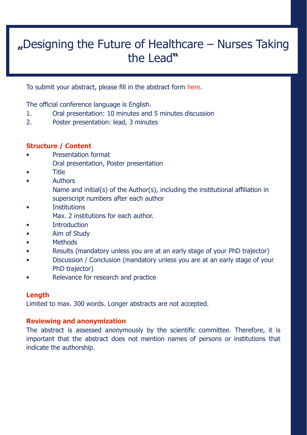# **"**Designing the Future of Healthcare – Nurses Taking the Lead**"**

To submit your abstract, please fill in the abstract form here.

The official conference language is English.

- 1. Oral presentation: 10 minutes and 5 minutes discussion<br>2 Doster presentation: lead 3 minutes
- Poster presentation: lead, 3 minutes

#### **Structure / Content**

- Presentation format Oral presentation, Poster presentation
- Title
- **Authors** Name and initial(s) of the Author(s), including the institutional affiliation in superscript numbers after each author
- **Institutions**
- Max. 2 institutions for each author.
- **Introduction**
- Aim of Study
- Methods
- Results (mandatory unless you are at an early stage of your PhD trajector)
- Discussion / Conclusion (mandatory unless you are at an early stage of your PhD trajector)
- Relevance for research and practice

#### **Length**

Limited to max. 300 words. Longer abstracts are not accepted.

#### **Reviewing and anonymization**

The abstract is assessed anonymously by the scientific committee. Therefore, it is important that the abstract does not mention names of persons or institutions that indicate the authorship.